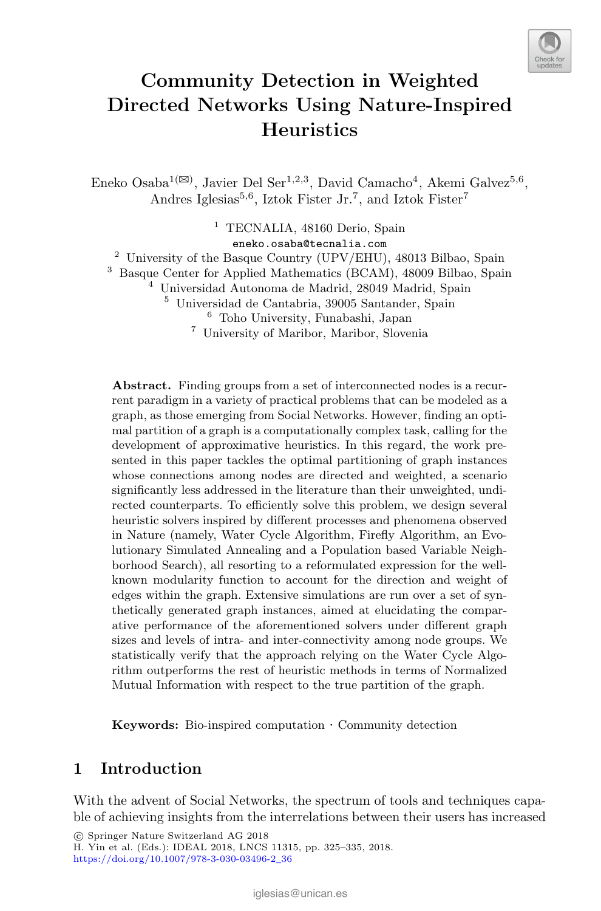

# **Community Detection in Weighted Directed Networks Using Nature-Inspired Heuristics**

Eneko Osaba<sup>1( $\boxtimes$ )</sup>, Javier Del Ser<sup>1,2,3</sup>, David Camacho<sup>4</sup>, Akemi Galvez<sup>5,6</sup>, Andres Iglesias<sup>5,6</sup>, Iztok Fister Jr.<sup>7</sup>, and Iztok Fister<sup>7</sup>

> <sup>1</sup> TECNALIA, 48160 Derio, Spain eneko.osaba@tecnalia.com

<sup>2</sup> University of the Basque Country (UPV/EHU), 48013 Bilbao, Spain

<sup>3</sup> Basque Center for Applied Mathematics (BCAM), 48009 Bilbao, Spain

<sup>4</sup> Universidad Autonoma de Madrid, 28049 Madrid, Spain

<sup>5</sup> Universidad de Cantabria, 39005 Santander, Spain

<sup>6</sup> Toho University, Funabashi, Japan

<sup>7</sup> University of Maribor, Maribor, Slovenia

**Abstract.** Finding groups from a set of interconnected nodes is a recurrent paradigm in a variety of practical problems that can be modeled as a graph, as those emerging from Social Networks. However, finding an optimal partition of a graph is a computationally complex task, calling for the development of approximative heuristics. In this regard, the work presented in this paper tackles the optimal partitioning of graph instances whose connections among nodes are directed and weighted, a scenario significantly less addressed in the literature than their unweighted, undirected counterparts. To efficiently solve this problem, we design several heuristic solvers inspired by different processes and phenomena observed in Nature (namely, Water Cycle Algorithm, Firefly Algorithm, an Evolutionary Simulated Annealing and a Population based Variable Neighborhood Search), all resorting to a reformulated expression for the wellknown modularity function to account for the direction and weight of edges within the graph. Extensive simulations are run over a set of synthetically generated graph instances, aimed at elucidating the comparative performance of the aforementioned solvers under different graph sizes and levels of intra- and inter-connectivity among node groups. We statistically verify that the approach relying on the Water Cycle Algorithm outperforms the rest of heuristic methods in terms of Normalized Mutual Information with respect to the true partition of the graph.

**Keywords:** Bio-inspired computation · Community detection

# **1 Introduction**

With the advent of Social Networks, the spectrum of tools and techniques capable of achieving insights from the interrelations between their users has increased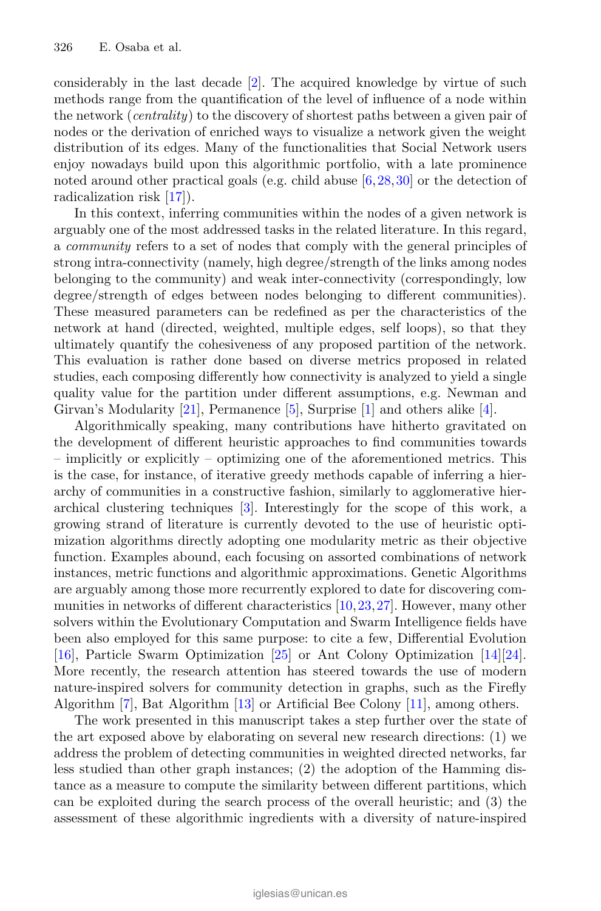considerably in the last decade [2]. The acquired knowledge by virtue of such methods range from the quantification of the level of influence of a node within the network (*centrality*) to the discovery of shortest paths between a given pair of nodes or the derivation of enriched ways to visualize a network given the weight distribution of its edges. Many of the functionalities that Social Network users enjoy nowadays build upon this algorithmic portfolio, with a late prominence noted around other practical goals (e.g. child abuse [6,28,30] or the detection of radicalization risk [17]).

In this context, inferring communities within the nodes of a given network is arguably one of the most addressed tasks in the related literature. In this regard, a *community* refers to a set of nodes that comply with the general principles of strong intra-connectivity (namely, high degree/strength of the links among nodes belonging to the community) and weak inter-connectivity (correspondingly, low degree/strength of edges between nodes belonging to different communities). These measured parameters can be redefined as per the characteristics of the network at hand (directed, weighted, multiple edges, self loops), so that they ultimately quantify the cohesiveness of any proposed partition of the network. This evaluation is rather done based on diverse metrics proposed in related studies, each composing differently how connectivity is analyzed to yield a single quality value for the partition under different assumptions, e.g. Newman and Girvan's Modularity [21], Permanence [5], Surprise [1] and others alike [4].

Algorithmically speaking, many contributions have hitherto gravitated on the development of different heuristic approaches to find communities towards – implicitly or explicitly – optimizing one of the aforementioned metrics. This is the case, for instance, of iterative greedy methods capable of inferring a hierarchy of communities in a constructive fashion, similarly to agglomerative hierarchical clustering techniques [3]. Interestingly for the scope of this work, a growing strand of literature is currently devoted to the use of heuristic optimization algorithms directly adopting one modularity metric as their objective function. Examples abound, each focusing on assorted combinations of network instances, metric functions and algorithmic approximations. Genetic Algorithms are arguably among those more recurrently explored to date for discovering communities in networks of different characteristics [10,23,27]. However, many other solvers within the Evolutionary Computation and Swarm Intelligence fields have been also employed for this same purpose: to cite a few, Differential Evolution [16], Particle Swarm Optimization [25] or Ant Colony Optimization [14][24]. More recently, the research attention has steered towards the use of modern nature-inspired solvers for community detection in graphs, such as the Firefly Algorithm [7], Bat Algorithm [13] or Artificial Bee Colony [11], among others.

The work presented in this manuscript takes a step further over the state of the art exposed above by elaborating on several new research directions: (1) we address the problem of detecting communities in weighted directed networks, far less studied than other graph instances; (2) the adoption of the Hamming distance as a measure to compute the similarity between different partitions, which can be exploited during the search process of the overall heuristic; and (3) the assessment of these algorithmic ingredients with a diversity of nature-inspired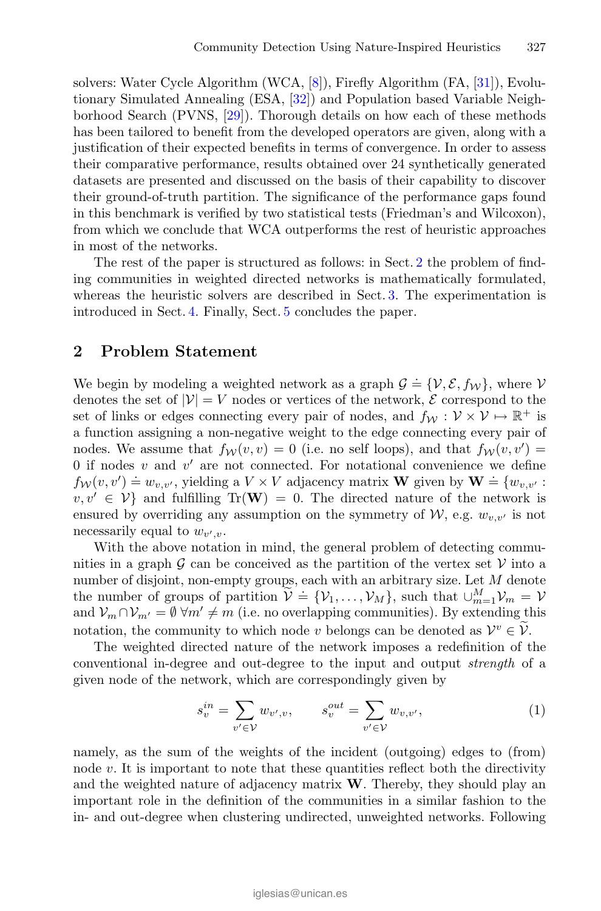solvers: Water Cycle Algorithm (WCA, [8]), Firefly Algorithm (FA, [31]), Evolutionary Simulated Annealing (ESA, [32]) and Population based Variable Neighborhood Search (PVNS, [29]). Thorough details on how each of these methods has been tailored to benefit from the developed operators are given, along with a justification of their expected benefits in terms of convergence. In order to assess their comparative performance, results obtained over 24 synthetically generated datasets are presented and discussed on the basis of their capability to discover their ground-of-truth partition. The significance of the performance gaps found in this benchmark is verified by two statistical tests (Friedman's and Wilcoxon), from which we conclude that WCA outperforms the rest of heuristic approaches in most of the networks.

The rest of the paper is structured as follows: in Sect. 2 the problem of finding communities in weighted directed networks is mathematically formulated, whereas the heuristic solvers are described in Sect. 3. The experimentation is introduced in Sect. 4. Finally, Sect. 5 concludes the paper.

#### **2 Problem Statement**

We begin by modeling a weighted network as a graph  $\mathcal{G} = \{ \mathcal{V}, \mathcal{E}, f_{\mathcal{W}} \}$ , where  $\mathcal{V}$ denotes the set of  $|V| = V$  nodes or vertices of the network,  $\mathcal E$  correspond to the set of links or edges connecting every pair of nodes, and  $f_W : \mathcal{V} \times \mathcal{V} \mapsto \mathbb{R}^+$  is a function assigning a non-negative weight to the edge connecting every pair of nodes. We assume that  $f_{\mathcal{W}}(v, v) = 0$  (i.e. no self loops), and that  $f_{\mathcal{W}}(v, v') =$ 0 if nodes v and  $v'$  are not connected. For notational convenience we define  $f_W(v, v') = w_{v, v'}$ , yielding a  $V \times V$  adjacency matrix **W** given by  $\mathbf{W} = \{w_{v, v'}:$  $v, v' \in V$  and fulfilling Tr(**W**) = 0. The directed nature of the network is ensured by overriding any assumption on the symmetry of  $W$ , e.g.  $w_{v,v'}$  is not necessarily equal to  $w_{v',v}$ .

With the above notation in mind, the general problem of detecting communities in a graph  $\mathcal G$  can be conceived as the partition of the vertex set  $\mathcal V$  into a number of disjoint, non-empty groups, each with an arbitrary size. Let M denote ensured by overriding any assumptic<br>necessarily equal to  $w_{v',v}$ .<br>With the above notation in mind<br>nities in a graph  $G$  can be conceived<br>number of disjoint, non-empty groups<br>the number of groups of partition  $\widetilde{V}$  $\widetilde{\mathcal{V}} = \{\mathcal{V}_1, \ldots, \mathcal{V}_M\}$ , such that  $\cup_{m=1}^M \mathcal{V}_m = \mathcal{V}$ and  $\mathcal{V}_m \cap \mathcal{V}_{m'} = \emptyset \ \forall m' \neq m$  (i.e. no overlapping communities). By extending this with the above hotation in filling, the general problem of detecting confinities in a graph  $G$  can be conceived as the partition of the vertex set  $V$  int number of disjoint, non-empty groups, each with an arbitrary size

The vector of the network imposes a redefinition of the and out-degree to the input and output strength of  $\hat{v}$ .<br>
eted nature of the network imposes a redefinition of the and out-degree to the input and output *strengt* The weighted directed nature of the network imposes a redefinition of the conventional in-degree and out-degree to the input and output *strength* of a given node of the network, which are correspondingly given by

$$
s_v^{in} = \sum_{v' \in V} w_{v',v}, \qquad s_v^{out} = \sum_{v' \in V} w_{v,v'}, \tag{1}
$$

namely, as the sum of the weights of the incident (outgoing) edges to (from) node  $v$ . It is important to note that these quantities reflect both the directivity and the weighted nature of adjacency matrix **W**. Thereby, they should play an important role in the definition of the communities in a similar fashion to the in- and out-degree when clustering undirected, unweighted networks. Following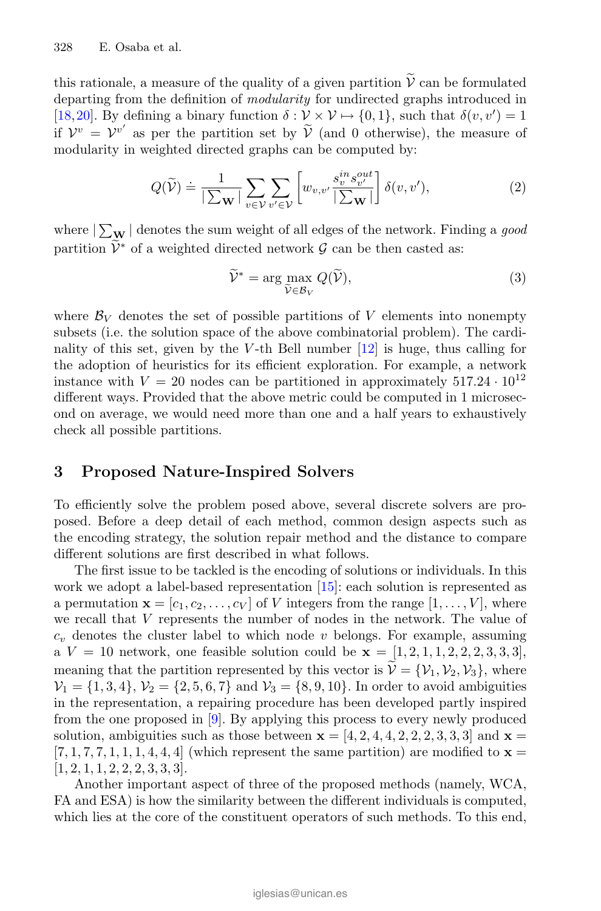328 E. Osaba et al.<br>this rationale, a measure of the quality of a given partition  $\widetilde{\mathcal{V}}$  can be formulated departing from the definition of *modularity* for undirected graphs introduced in [18,20]. By defining a binary function  $\delta : \mathcal{V} \times \mathcal{V} \mapsto \{0,1\}$ , such that  $\delta(v, v') = 1$ if  $V^v = V^{v'}$  as per the partition set by  $V$  (and 0 otherwise), the measure of as the assume of the quality of a<br>m the definition of *modularity*<br>efining a binary function  $\delta : V$ <br>as per the partition set by  $\widetilde{V}$ modularity in weighted directed graphs can be computed by: ing a binary function  $\delta : \mathcal{V} \times \mathcal{V} \mapsto$ <br>per the partition set by  $\widetilde{\mathcal{V}}$  (and eighted directed graphs can be con<br> $Q(\widetilde{\mathcal{V}}) \doteq \frac{1}{|\sum_{v} \mathcal{V}|} \sum_{v} \sum_{v'} \left[ w_{v,v'} \frac{s_v^{in} \mathcal{V}}{|\sum_{v'} \mathcal{V}|} \right]$ 

$$
Q(\widetilde{\mathcal{V}}) \doteq \frac{1}{|\sum_{\mathbf{W}}|} \sum_{v \in \mathcal{V}} \sum_{v' \in \mathcal{V}} \left[ w_{v,v'} \frac{s_v^{in} s_{v'}^{out}}{|\sum_{\mathbf{W}}|} \right] \delta(v,v'), \tag{2}
$$

where  $|\sum_{\mathbf{W}}|$  denotes the sum weight of all edges of the network. Finding a *good* where  $|\sum_{\mathbf{y}}\n{\mathbf{y}}$ <sup>\*</sup> of a weighted directed network  $\mathcal{G}$  can be then casted as:<br>  $\widetilde{V}^* = \arg \max_{\widetilde{V} \in \mathcal{B}_V} Q(\widetilde{V}),$ v<br>1 :<br>e<br> $\widetilde{\mathcal{V}}$  $\frac{d}{d}$ <br>dges<br> $\mathcal G$  ca

$$
\widetilde{\mathcal{V}}^* = \arg \max_{\widetilde{\mathcal{V}} \in \mathcal{B}_V} Q(\widetilde{\mathcal{V}}),\tag{3}
$$

where  $\mathcal{B}_V$  denotes the set of possible partitions of V elements into nonempty subsets (i.e. the solution space of the above combinatorial problem). The cardinality of this set, given by the V-th Bell number  $[12]$  is huge, thus calling for the adoption of heuristics for its efficient exploration. For example, a network instance with  $V = 20$  nodes can be partitioned in approximately  $517.24 \cdot 10^{12}$ different ways. Provided that the above metric could be computed in 1 microsecond on average, we would need more than one and a half years to exhaustively check all possible partitions.

#### **3 Proposed Nature-Inspired Solvers**

To efficiently solve the problem posed above, several discrete solvers are proposed. Before a deep detail of each method, common design aspects such as the encoding strategy, the solution repair method and the distance to compare different solutions are first described in what follows.

The first issue to be tackled is the encoding of solutions or individuals. In this work we adopt a label-based representation [15]: each solution is represented as a permutation  $\mathbf{x} = [c_1, c_2, \dots, c_V]$  of V integers from the range  $[1, \dots, V]$ , where we recall that V represents the number of nodes in the network. The value of  $c_v$  denotes the cluster label to which node v belongs. For example, assuming a  $V = 10$  network, one feasible solution could be  $\mathbf{x} = [1, 2, 1, 1, 2, 2, 2, 3, 3, 3]$ , work we adopt a label-based representation [15]: each solid a permutation  $\mathbf{x} = [c_1, c_2, \dots, c_V]$  of *V* integers from the r we recall that *V* represents the number of nodes in the  $c_v$  denotes the cluster label to which meaning that the partition represented by this vector is  $\mathcal{V} = {\mathcal{V}_1, \mathcal{V}_2, \mathcal{V}_3}$ , where  $V_1 = \{1, 3, 4\}, V_2 = \{2, 5, 6, 7\}$  and  $V_3 = \{8, 9, 10\}.$  In order to avoid ambiguities in the representation, a repairing procedure has been developed partly inspired from the one proposed in [9]. By applying this process to every newly produced solution, ambiguities such as those between  $\mathbf{x} = \begin{bmatrix} 4, 2, 4, 4, 2, 2, 2, 3, 3, 3 \end{bmatrix}$  and  $\mathbf{x} =$  $[7, 1, 7, 7, 1, 1, 1, 4, 4, 4]$  (which represent the same partition) are modified to  $\mathbf{x} =$  $[1, 2, 1, 1, 2, 2, 2, 3, 3, 3].$ 

Another important aspect of three of the proposed methods (namely, WCA, FA and ESA) is how the similarity between the different individuals is computed, which lies at the core of the constituent operators of such methods. To this end,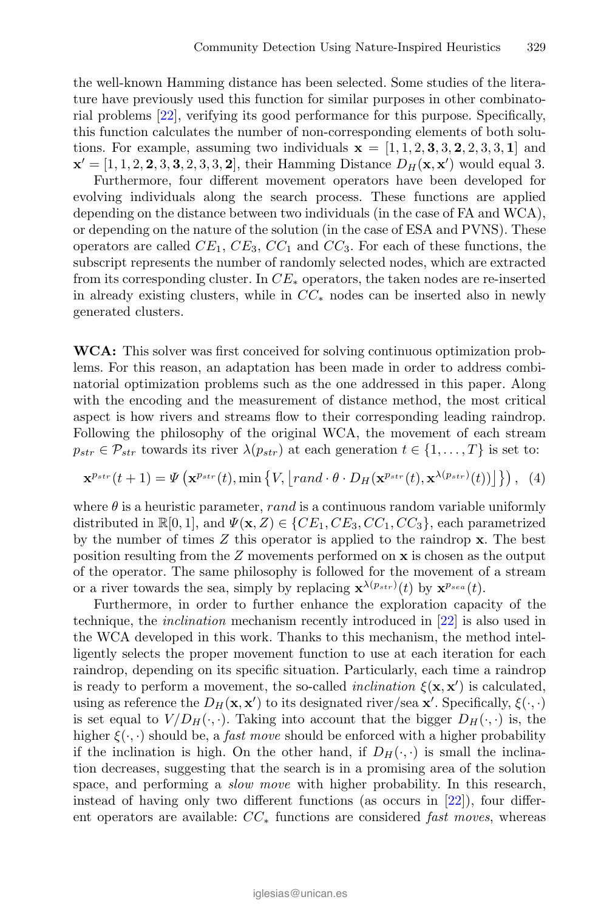the well-known Hamming distance has been selected. Some studies of the literature have previously used this function for similar purposes in other combinatorial problems [22], verifying its good performance for this purpose. Specifically, this function calculates the number of non-corresponding elements of both solutions. For example, assuming two individuals  $\mathbf{x} = [1, 1, 2, 3, 3, 2, 2, 3, 3, 1]$  and  $\mathbf{x}' = [1, 1, 2, 2, 3, 3, 2, 3, 3, 2]$ , their Hamming Distance  $D_H(\mathbf{x}, \mathbf{x}')$  would equal 3.

Furthermore, four different movement operators have been developed for evolving individuals along the search process. These functions are applied depending on the distance between two individuals (in the case of FA and WCA), or depending on the nature of the solution (in the case of ESA and PVNS). These operators are called  $CE_1$ ,  $CE_3$ ,  $CC_1$  and  $CC_3$ . For each of these functions, the subscript represents the number of randomly selected nodes, which are extracted from its corresponding cluster. In  $CE_*$  operators, the taken nodes are re-inserted in already existing clusters, while in  $CC_*$  nodes can be inserted also in newly generated clusters.

**WCA:** This solver was first conceived for solving continuous optimization problems. For this reason, an adaptation has been made in order to address combinatorial optimization problems such as the one addressed in this paper. Along matorial opening and the measurement of distance method, the most critical aspect is how rivers and streams flow to their corresponding leading raindrop. Following the philosophy of the original WCA, the movement of each stream  $p_{str} \in \mathcal{P}_{str}$  towards its river  $\lambda(p_{str})$  at each generation  $t \in \{1, ..., T\}$  is set to: ith the encoding and the measurement of distance method, the most<br>spect is how rivers and streams flow to their corresponding leading r<br>pllowing the philosophy of the original WCA, the movement of each<br> $u_{tt} \in \mathcal{P}_{str}$  to

$$
\mathbf{x}^{p_{str}}(t+1) = \Psi\left(\mathbf{x}^{p_{str}}(t), \min\left\{V, \left\lfloor rand \cdot \theta \cdot D_H(\mathbf{x}^{p_{str}}(t), \mathbf{x}^{\lambda(p_{str})}(t)) \right\rfloor \right\}\right), \tag{4}
$$

where  $\theta$  is a heuristic parameter, rand is a continuous random variable uniformly distributed in  $\mathbb{R}[0,1]$ , and  $\Psi(\mathbf{x}, Z) \in \{CE_1, CE_3, CC_1, CC_3\}$ , each parametrized by the number of times Z this operator is applied to the raindrop **x**. The best position resulting from the Z movements performed on **x** is chosen as the output of the operator. The same philosophy is followed for the movement of a stream or a river towards the sea, simply by replacing  $\mathbf{x}^{\lambda(p_{str})}(t)$  by  $\mathbf{x}^{p_{sea}}(t)$ .

Furthermore, in order to further enhance the exploration capacity of the technique, the *inclination* mechanism recently introduced in [22] is also used in the WCA developed in this work. Thanks to this mechanism, the method intelligently selects the proper movement function to use at each iteration for each raindrop, depending on its specific situation. Particularly, each time a raindrop is ready to perform a movement, the so-called *inclination*  $\xi(\mathbf{x}, \mathbf{x}')$  is calculated, using as reference the  $D_H(\mathbf{x}, \mathbf{x}')$  to its designated river/sea  $\mathbf{x}'$ . Specifically,  $\xi(\cdot, \cdot)$ is set equal to  $V/D_H(\cdot, \cdot)$ . Taking into account that the bigger  $D_H(\cdot, \cdot)$  is, the higher  $\xi(\cdot, \cdot)$  should be, a *fast move* should be enforced with a higher probability if the inclination is high. On the other hand, if  $D_H(\cdot, \cdot)$  is small the inclination decreases, suggesting that the search is in a promising area of the solution space, and performing a *slow move* with higher probability. In this research, instead of having only two different functions (as occurs in [22]), four different operators are available: CC<sup>∗</sup> functions are considered *fast moves*, whereas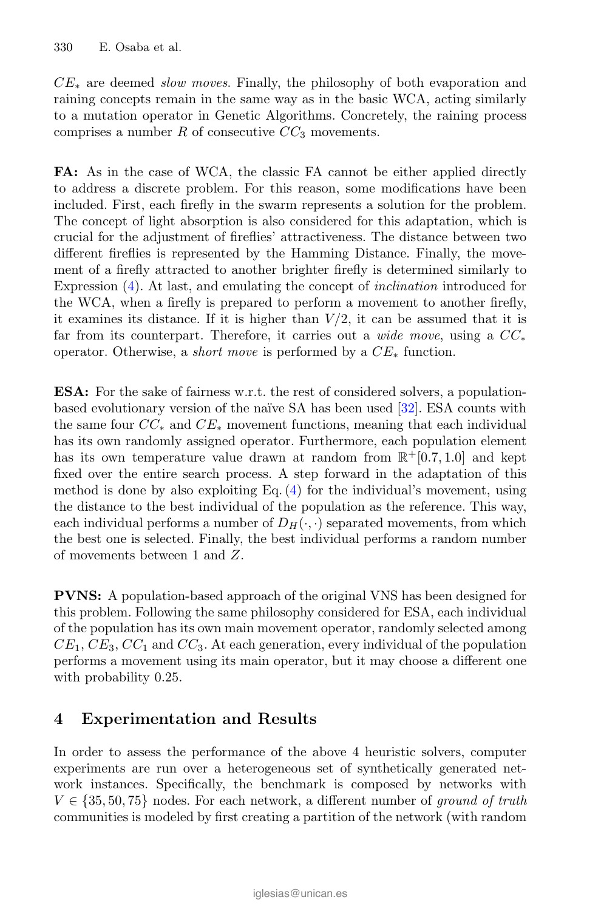CE<sup>∗</sup> are deemed *slow moves*. Finally, the philosophy of both evaporation and raining concepts remain in the same way as in the basic WCA, acting similarly to a mutation operator in Genetic Algorithms. Concretely, the raining process comprises a number  $R$  of consecutive  $CC_3$  movements.

**FA:** As in the case of WCA, the classic FA cannot be either applied directly to address a discrete problem. For this reason, some modifications have been included. First, each firefly in the swarm represents a solution for the problem. The concept of light absorption is also considered for this adaptation, which is crucial for the adjustment of fireflies' attractiveness. The distance between two different fireflies is represented by the Hamming Distance. Finally, the movement of a firefly attracted to another brighter firefly is determined similarly to Expression (4). At last, and emulating the concept of *inclination* introduced for the WCA, when a firefly is prepared to perform a movement to another firefly, it examines its distance. If it is higher than  $V/2$ , it can be assumed that it is far from its counterpart. Therefore, it carries out a *wide move*, using a CC<sup>∗</sup> operator. Otherwise, a *short move* is performed by a CE<sup>∗</sup> function.

**ESA:** For the sake of fairness w.r.t. the rest of considered solvers, a populationbased evolutionary version of the naïve SA has been used [32]. ESA counts with the same four  $CC_*$  and  $CE_*$  movement functions, meaning that each individual has its own randomly assigned operator. Furthermore, each population element has its own temperature value drawn at random from  $\mathbb{R}^+[0.7, 1.0]$  and kept fixed over the entire search process. A step forward in the adaptation of this method is done by also exploiting Eq.  $(4)$  for the individual's movement, using the distance to the best individual of the population as the reference. This way, each individual performs a number of  $D_H(\cdot, \cdot)$  separated movements, from which the best one is selected. Finally, the best individual performs a random number of movements between 1 and Z.

**PVNS:** A population-based approach of the original VNS has been designed for this problem. Following the same philosophy considered for ESA, each individual of the population has its own main movement operator, randomly selected among  $CE_1, CE_3, CC_1$  and  $CC_3$ . At each generation, every individual of the population performs a movement using its main operator, but it may choose a different one with probability 0.25.

# **4 Experimentation and Results**

In order to assess the performance of the above 4 heuristic solvers, computer experiments are run over a heterogeneous set of synthetically generated network instances. Specifically, the benchmark is composed by networks with  $V \in \{35, 50, 75\}$  nodes. For each network, a different number of *ground of truth* communities is modeled by first creating a partition of the network (with random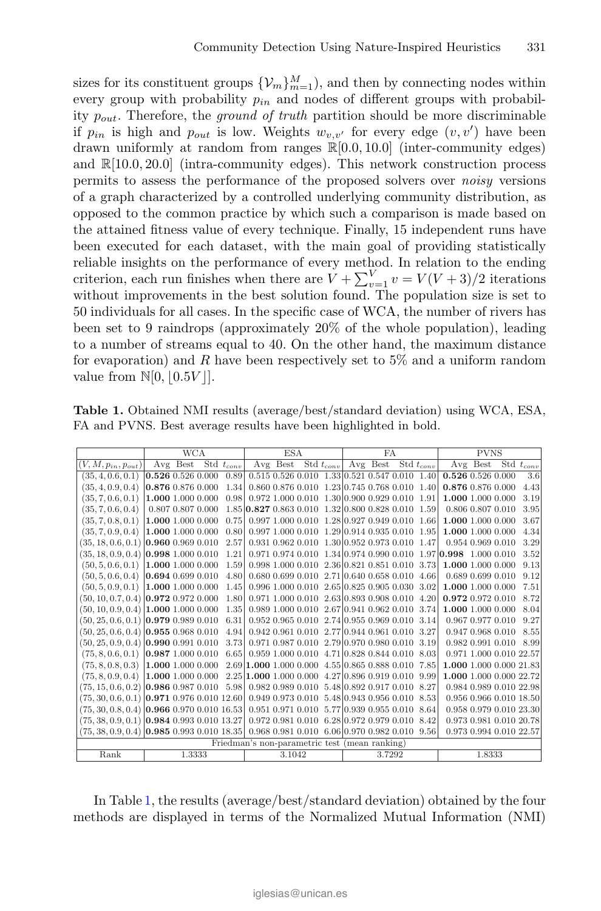sizes for its constituent groups  $\{V_m\}_{m=1}^M$ , and then by connecting nodes within every group with probability  $p_{in}$  and nodes of different groups with probability pout. Therefore, the *ground of truth* partition should be more discriminable if  $p_{in}$  is high and  $p_{out}$  is low. Weights  $w_{v,v'}$  for every edge  $(v, v')$  have been drawn uniformly at random from ranges  $\mathbb{R}[0.0, 10.0]$  (inter-community edges) and  $\mathbb{R}[10.0, 20.0]$  (intra-community edges). This network construction process permits to assess the performance of the proposed solvers over *noisy* versions of a graph characterized by a controlled underlying community distribution, as opposed to the common practice by which such a comparison is made based on the attained fitness value of every technique. Finally, 15 independent runs have been executed for each dataset, with the main goal of providing statistically reliable insights on the performance of every method. In relation to the ending of a graph characterized by a controlled underlying community distribution, as<br>opposed to the common practice by which such a comparison is made based on<br>the attained fitness value of every technique. Finally, 15 independ without improvements in the best solution found. The population size is set to 50 individuals for all cases. In the specific case of WCA, the number of rivers has been set to 9 raindrops (approximately 20% of the whole population), leading to a number of streams equal to 40. On the other hand, the maximum distance for evaporation) and R have been respectively set to  $5\%$  and a uniform random value from  $\mathbb{N}[0, \lfloor 0.5V \rfloor].$ 

**Table 1.** Obtained NMI results (average/best/standard deviation) using WCA, ESA, FA and PVNS. Best average results have been highlighted in bold.

|                                                                                                   | <b>WCA</b>                            |                   |  |                | <b>ESA</b>                                             |          |  |  | FA     |                             |  |                | <b>PVNS</b>                                                                           |          |                         |                |
|---------------------------------------------------------------------------------------------------|---------------------------------------|-------------------|--|----------------|--------------------------------------------------------|----------|--|--|--------|-----------------------------|--|----------------|---------------------------------------------------------------------------------------|----------|-------------------------|----------------|
| $(V, M, p_{in}, p_{out})$                                                                         |                                       | Avg Best          |  | Std $t_{conv}$ |                                                        | Avg Best |  |  |        | Std $t_{conv}$ Avg Best     |  | Std $t_{conv}$ |                                                                                       | Avg Best |                         | Std $t_{conv}$ |
| (35, 4, 0.6, 0.1)                                                                                 | $\vert 0.526 \; 0.526 \; 0.000 \vert$ |                   |  | 0.89           | 0.515 0.526 0.010 1.33 0.521 0.547 0.010 1.40          |          |  |  |        |                             |  |                | 0.526 0.526 0.000                                                                     |          |                         | 3.6            |
| (35, 4, 0.9, 0.4)                                                                                 | $\big 0.876\ 0.876\ 0.000\big $       |                   |  | 1.34           | 0.860 0.876 0.010 1.23 0.745 0.768 0.010 1.40          |          |  |  |        |                             |  |                | 0.876 0.876 0.000                                                                     |          |                         | 4.43           |
| (35, 7, 0.6, 0.1)                                                                                 | 1,000 1,000 0,000                     |                   |  | 0.98           | 0.972 1.000 0.010 1.30 0.900 0.929 0.010 1.91          |          |  |  |        |                             |  |                | 1.000 1.000 0.000                                                                     |          |                         | 3.19           |
| (35, 7, 0.6, 0.4)                                                                                 |                                       | 0.807 0.807 0.000 |  |                | 1.85   0.827 0.863 0.010 1.32   0.800 0.828 0.010 1.59 |          |  |  |        |                             |  |                |                                                                                       |          | 0.806 0.807 0.010       | 3.95           |
| $(35, 7, 0.8, 0.1)$ <b>1.000</b> 1.000 0.000                                                      |                                       |                   |  | 0.75           | 0.997 1.000 0.010 1.28 0.927 0.949 0.010 1.66          |          |  |  |        |                             |  |                | 1.000 1.000 0.000                                                                     |          |                         | 3.67           |
| $(35, 7, 0.9, 0.4)$ <b>1.000</b> 1.000 0.000                                                      |                                       |                   |  | 0.80           | 0.997 1.000 0.010 1.29 0.914 0.935 0.010 1.95          |          |  |  |        |                             |  |                | 1.000 1.000 0.000                                                                     |          |                         | 4.34           |
| $(35, 18, 0.6, 0.1)$ <b>0.960</b> 0.969 0.010                                                     |                                       |                   |  | 2.57           | 0.931 0.962 0.010 1.30 0.952 0.973 0.010 1.47          |          |  |  |        |                             |  |                |                                                                                       |          | 0.954 0.969 0.010       | 3.29           |
| $(35, 18, 0.9, 0.4)$ 0.998 1.000 0.010                                                            |                                       |                   |  | 1.21           |                                                        |          |  |  |        |                             |  |                | $0.971$ $0.974$ $0.010$ $1.34$ $0.974$ $0.990$ $0.010$ $1.97$ $0.998$ $1.000$ $0.010$ |          |                         | 3.52           |
| $(50, 5, 0.6, 0.1)$ <b>1.000</b> 1.000 0.000                                                      |                                       |                   |  | 1.59           | 0.998 1.000 0.010 2.36 0.821 0.851 0.010 3.73          |          |  |  |        |                             |  |                | 1.000 1.000 0.000                                                                     |          |                         | 9.13           |
| $(50, 5, 0.6, 0.4)$ 0.694 0.699 0.010                                                             |                                       |                   |  | 4.80           | 0.680 0.699 0.010 2.71 0.640 0.658 0.010 4.66          |          |  |  |        |                             |  |                |                                                                                       |          | 0.689 0.699 0.010       | 9.12           |
| $(50, 5, 0.9, 0.1)$ <b>1.000</b> 1.000 0.000                                                      |                                       |                   |  | 1.45           | 0.996 1.000 0.010 2.65 0.825 0.905 0.030 3.02          |          |  |  |        |                             |  |                | 1.000 1.000 0.000                                                                     |          |                         | 7.51           |
| $(50, 10, 0.7, 0.4)$ 0.972 0.972 0.000                                                            |                                       |                   |  | 1.80           | 0.971 1.000 0.010 2.63 0.893 0.908 0.010 4.20          |          |  |  |        |                             |  |                | 0.972 0.972 0.010                                                                     |          |                         | 8.72           |
| $(50, 10, 0.9, 0.4)$   1.000 1.000 0.000                                                          |                                       |                   |  | 1.35           | 0.989 1.000 0.010 2.67 0.941 0.962 0.010 3.74          |          |  |  |        |                             |  |                | 1.000 1.000 0.000                                                                     |          |                         | 8.04           |
| $(50, 25, 0.6, 0.1)$ 0.979 0.989 0.010                                                            |                                       |                   |  | 6.31           | 0.952 0.965 0.010 2.74 0.955 0.969 0.010 3.14          |          |  |  |        |                             |  |                |                                                                                       |          | 0.967 0.977 0.010       | 9.27           |
| $(50, 25, 0.6, 0.4)$ 0.955 0.968 0.010                                                            |                                       |                   |  | 4.94           | 0.942 0.961 0.010 2.77 0.944 0.961 0.010 3.27          |          |  |  |        |                             |  |                |                                                                                       |          | 0.947 0.968 0.010       | 8.55           |
| $(50, 25, 0.9, 0.4)$ 0.990 0.991 0.010                                                            |                                       |                   |  | 3.73           | 0.971 0.987 0.010 2.79 0.970 0.980 0.010 3.19          |          |  |  |        |                             |  |                |                                                                                       |          | 0.982 0.991 0.010       | 8.99           |
| $(75, 8, 0.6, 0.1)$ 0.987 1.000 0.010                                                             |                                       |                   |  | 6.65           | 0.959 1.000 0.010 4.71 0.828 0.844 0.010 8.03          |          |  |  |        |                             |  |                |                                                                                       |          | 0.971 1.000 0.010 22.57 |                |
| $(75, 8, 0.8, 0.3)$   1.000 1.000 0.000                                                           |                                       |                   |  |                | 2.69 1.000 1.000 0.000 4.55 0.865 0.888 0.010 7.85     |          |  |  |        |                             |  |                | 1.000 1.000 0.000 21.83                                                               |          |                         |                |
| $(75, 8, 0.9, 0.4)$ <b>1.000</b> 1.000 0.000                                                      |                                       |                   |  |                | 2.25 1.000 1.000 0.000                                 |          |  |  |        | 4.27 0.896 0.919 0.010 9.99 |  |                | 1.000 1.000 0.000 22.72                                                               |          |                         |                |
| $(75, 15, 0.6, 0.2)$ 0.986 0.987 0.010                                                            |                                       |                   |  | 5.98           | 0.982 0.989 0.010 5.48 0.892 0.917 0.010 8.27          |          |  |  |        |                             |  |                |                                                                                       |          | 0.984 0.989 0.010 22.98 |                |
| $(75, 30, 0.6, 0.1)$ <b>0.971</b> 0.976 0.010 12.60                                               |                                       |                   |  |                | 0.949 0.973 0.010 5.48 0.943 0.956 0.010 8.53          |          |  |  |        |                             |  |                |                                                                                       |          | 0.956 0.966 0.010 18.50 |                |
| $(75, 30, 0.8, 0.4)$   0.966 0.970 0.010 16.53                                                    |                                       |                   |  |                | 0.951 0.971 0.010 5.77 0.939 0.955 0.010 8.64          |          |  |  |        |                             |  |                |                                                                                       |          | 0.958 0.979 0.010 23.30 |                |
| $(75, 38, 0.9, 0.1)$ <b>0.984</b> 0.993 0.010 13.27                                               |                                       |                   |  |                | 0.972 0.981 0.010 6.28 0.972 0.979 0.010 8.42          |          |  |  |        |                             |  |                |                                                                                       |          | 0.973 0.981 0.010 20.78 |                |
| $(75, 38, 0.9, 0.4)$ <b>0.985</b> 0.993 0.010 18.35 0.968 0.981 0.010 6.06 0.970 0.982 0.010 9.56 |                                       |                   |  |                |                                                        |          |  |  |        |                             |  |                |                                                                                       |          | 0.973 0.994 0.010 22.57 |                |
|                                                                                                   |                                       |                   |  |                | Friedman's non-parametric test (mean ranking)          |          |  |  |        |                             |  |                |                                                                                       |          |                         |                |
| Rank                                                                                              | 1.3333                                |                   |  |                | 3.1042                                                 |          |  |  | 3.7292 |                             |  |                | 1.8333                                                                                |          |                         |                |

In Table 1, the results (average/best/standard deviation) obtained by the four methods are displayed in terms of the Normalized Mutual Information (NMI)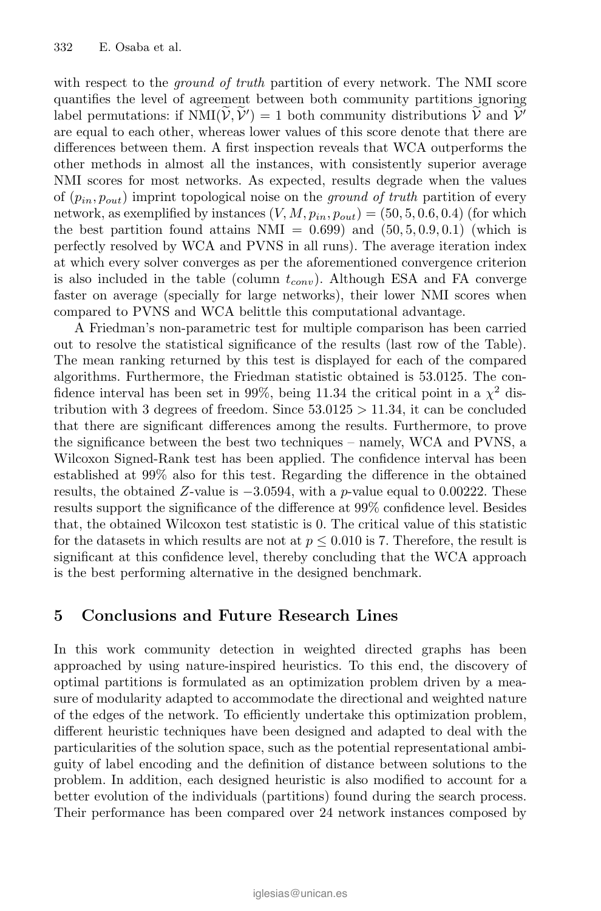with respect to the *ground of truth* partition of every network. The NMI score quantifies the level of agreement between both community partitions ignoring 332 E. Osaba et al.<br>with respect to the *ground of truth* partition of every network. The NMI scor-<br>quantifies the level of agreement between both community partitions ignoring<br>label permutations: if  $NM(\tilde{V}, \tilde{V}') = 1$  bo  $\cdot$  truen<br> $\frac{1}{2}, \frac{1}{2}$  $V = 1$  both community distributions V and V' are equal to each other, whereas lower values of this score denote that there are differences between them. A first inspection reveals that WCA outperforms the other methods in almost all the instances, with consistently superior average NMI scores for most networks. As expected, results degrade when the values of (pin, pout) imprint topological noise on the *ground of truth* partition of every network, as exemplified by instances  $(V, M, p_{in}, p_{out}) = (50, 5, 0.6, 0.4)$  (for which the best partition found attains NMI =  $0.699$ ) and  $(50, 5, 0.9, 0.1)$  (which is perfectly resolved by WCA and PVNS in all runs). The average iteration index at which every solver converges as per the aforementioned convergence criterion is also included in the table (column  $t_{conv}$ ). Although ESA and FA converge faster on average (specially for large networks), their lower NMI scores when compared to PVNS and WCA belittle this computational advantage.

A Friedman's non-parametric test for multiple comparison has been carried out to resolve the statistical significance of the results (last row of the Table). The mean ranking returned by this test is displayed for each of the compared algorithms. Furthermore, the Friedman statistic obtained is 53.0125. The confidence interval has been set in 99%, being 11.34 the critical point in a  $\chi^2$  distribution with 3 degrees of freedom. Since  $53.0125 > 11.34$ , it can be concluded that there are significant differences among the results. Furthermore, to prove the significance between the best two techniques – namely, WCA and PVNS, a Wilcoxon Signed-Rank test has been applied. The confidence interval has been established at 99% also for this test. Regarding the difference in the obtained results, the obtained Z-value is  $-3.0594$ , with a p-value equal to 0.00222. These results support the significance of the difference at 99% confidence level. Besides that, the obtained Wilcoxon test statistic is 0. The critical value of this statistic for the datasets in which results are not at  $p \leq 0.010$  is 7. Therefore, the result is significant at this confidence level, thereby concluding that the WCA approach is the best performing alternative in the designed benchmark.

### **5 Conclusions and Future Research Lines**

In this work community detection in weighted directed graphs has been approached by using nature-inspired heuristics. To this end, the discovery of optimal partitions is formulated as an optimization problem driven by a measure of modularity adapted to accommodate the directional and weighted nature of the edges of the network. To efficiently undertake this optimization problem, different heuristic techniques have been designed and adapted to deal with the particularities of the solution space, such as the potential representational ambiguity of label encoding and the definition of distance between solutions to the problem. In addition, each designed heuristic is also modified to account for a better evolution of the individuals (partitions) found during the search process. Their performance has been compared over 24 network instances composed by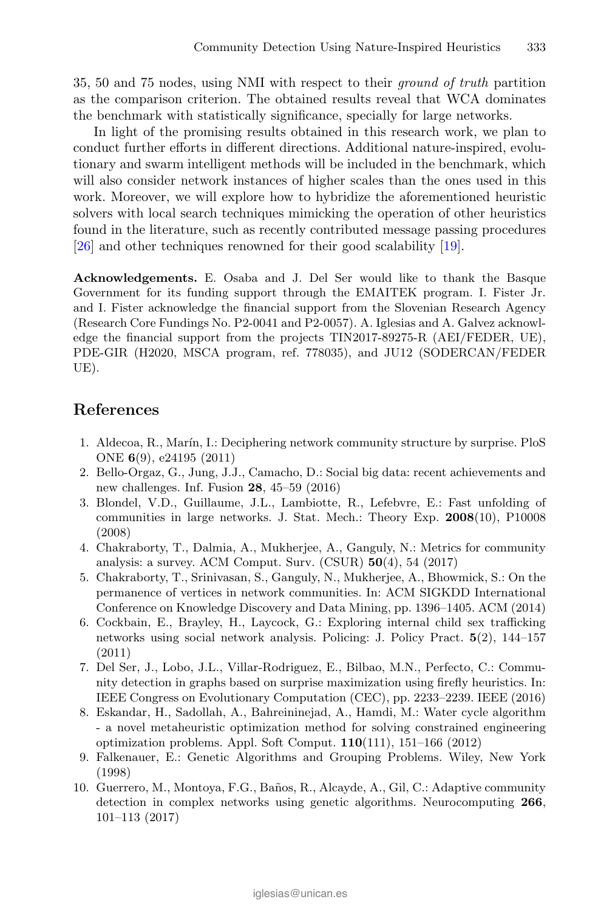35, 50 and 75 nodes, using NMI with respect to their *ground of truth* partition as the comparison criterion. The obtained results reveal that WCA dominates the benchmark with statistically significance, specially for large networks.

In light of the promising results obtained in this research work, we plan to conduct further efforts in different directions. Additional nature-inspired, evolutionary and swarm intelligent methods will be included in the benchmark, which will also consider network instances of higher scales than the ones used in this work. Moreover, we will explore how to hybridize the aforementioned heuristic solvers with local search techniques mimicking the operation of other heuristics found in the literature, such as recently contributed message passing procedures [26] and other techniques renowned for their good scalability [19].

**Acknowledgements.** E. Osaba and J. Del Ser would like to thank the Basque Government for its funding support through the EMAITEK program. I. Fister Jr. and I. Fister acknowledge the financial support from the Slovenian Research Agency (Research Core Fundings No. P2-0041 and P2-0057). A. Iglesias and A. Galvez acknowledge the financial support from the projects TIN2017-89275-R (AEI/FEDER, UE), PDE-GIR (H2020, MSCA program, ref. 778035), and JU12 (SODERCAN/FEDER UE).

## **References**

- 1. Aldecoa, R., Mar´ın, I.: Deciphering network community structure by surprise. PloS ONE **6**(9), e24195 (2011)
- 2. Bello-Orgaz, G., Jung, J.J., Camacho, D.: Social big data: recent achievements and new challenges. Inf. Fusion **28**, 45–59 (2016)
- 3. Blondel, V.D., Guillaume, J.L., Lambiotte, R., Lefebvre, E.: Fast unfolding of communities in large networks. J. Stat. Mech.: Theory Exp. **2008**(10), P10008 (2008)
- 4. Chakraborty, T., Dalmia, A., Mukherjee, A., Ganguly, N.: Metrics for community analysis: a survey. ACM Comput. Surv. (CSUR) **50**(4), 54 (2017)
- 5. Chakraborty, T., Srinivasan, S., Ganguly, N., Mukherjee, A., Bhowmick, S.: On the permanence of vertices in network communities. In: ACM SIGKDD International Conference on Knowledge Discovery and Data Mining, pp. 1396–1405. ACM (2014)
- 6. Cockbain, E., Brayley, H., Laycock, G.: Exploring internal child sex trafficking networks using social network analysis. Policing: J. Policy Pract. **5**(2), 144–157 (2011)
- 7. Del Ser, J., Lobo, J.L., Villar-Rodriguez, E., Bilbao, M.N., Perfecto, C.: Community detection in graphs based on surprise maximization using firefly heuristics. In: IEEE Congress on Evolutionary Computation (CEC), pp. 2233–2239. IEEE (2016)
- 8. Eskandar, H., Sadollah, A., Bahreininejad, A., Hamdi, M.: Water cycle algorithm - a novel metaheuristic optimization method for solving constrained engineering optimization problems. Appl. Soft Comput. **110**(111), 151–166 (2012)
- 9. Falkenauer, E.: Genetic Algorithms and Grouping Problems. Wiley, New York (1998)
- 10. Guerrero, M., Montoya, F.G., Baños, R., Alcayde, A., Gil, C.: Adaptive community detection in complex networks using genetic algorithms. Neurocomputing **266**, 101–113 (2017)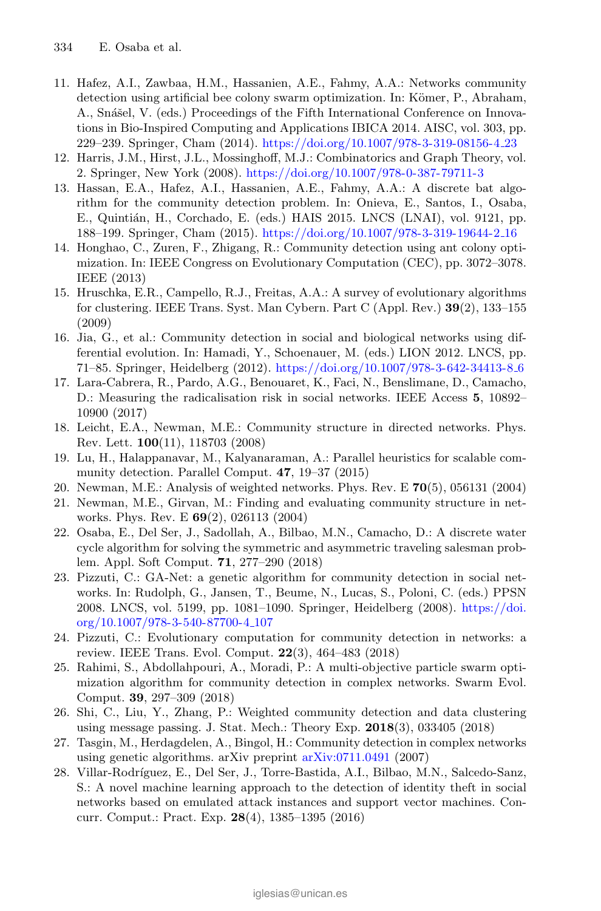- 11. Hafez, A.I., Zawbaa, H.M., Hassanien, A.E., Fahmy, A.A.: Networks community detection using artificial bee colony swarm optimization. In: Kömer, P., Abraham, A., Snášel, V. (eds.) Proceedings of the Fifth International Conference on Innovations in Bio-Inspired Computing and Applications IBICA 2014. AISC, vol. 303, pp. 229–239. Springer, Cham (2014). [https://doi.org/10.1007/978-3-319-08156-4](https://doi.org/10.1007/978-3-319-08156-4_23) 23
- 12. Harris, J.M., Hirst, J.L., Mossinghoff, M.J.: Combinatorics and Graph Theory, vol. 2. Springer, New York (2008). <https://doi.org/10.1007/978-0-387-79711-3>
- 13. Hassan, E.A., Hafez, A.I., Hassanien, A.E., Fahmy, A.A.: A discrete bat algorithm for the community detection problem. In: Onieva, E., Santos, I., Osaba, E., Quintián, H., Corchado, E. (eds.) HAIS 2015. LNCS (LNAI), vol. 9121, pp. 188–199. Springer, Cham (2015). [https://doi.org/10.1007/978-3-319-19644-2](https://doi.org/10.1007/978-3-319-19644-2_16) 16
- 14. Honghao, C., Zuren, F., Zhigang, R.: Community detection using ant colony optimization. In: IEEE Congress on Evolutionary Computation (CEC), pp. 3072–3078. IEEE (2013)
- 15. Hruschka, E.R., Campello, R.J., Freitas, A.A.: A survey of evolutionary algorithms for clustering. IEEE Trans. Syst. Man Cybern. Part C (Appl. Rev.) **39**(2), 133–155 (2009)
- 16. Jia, G., et al.: Community detection in social and biological networks using differential evolution. In: Hamadi, Y., Schoenauer, M. (eds.) LION 2012. LNCS, pp. 71–85. Springer, Heidelberg (2012). [https://doi.org/10.1007/978-3-642-34413-8](https://doi.org/10.1007/978-3-642-34413-8_6) 6
- 17. Lara-Cabrera, R., Pardo, A.G., Benouaret, K., Faci, N., Benslimane, D., Camacho, D.: Measuring the radicalisation risk in social networks. IEEE Access **5**, 10892– 10900 (2017)
- 18. Leicht, E.A., Newman, M.E.: Community structure in directed networks. Phys. Rev. Lett. **100**(11), 118703 (2008)
- 19. Lu, H., Halappanavar, M., Kalyanaraman, A.: Parallel heuristics for scalable community detection. Parallel Comput. **47**, 19–37 (2015)
- 20. Newman, M.E.: Analysis of weighted networks. Phys. Rev. E **70**(5), 056131 (2004)
- 21. Newman, M.E., Girvan, M.: Finding and evaluating community structure in networks. Phys. Rev. E **69**(2), 026113 (2004)
- 22. Osaba, E., Del Ser, J., Sadollah, A., Bilbao, M.N., Camacho, D.: A discrete water cycle algorithm for solving the symmetric and asymmetric traveling salesman problem. Appl. Soft Comput. **71**, 277–290 (2018)
- 23. Pizzuti, C.: GA-Net: a genetic algorithm for community detection in social networks. In: Rudolph, G., Jansen, T., Beume, N., Lucas, S., Poloni, C. (eds.) PPSN 2008. LNCS, vol. 5199, pp. 1081–1090. Springer, Heidelberg (2008). [https://doi.](https://doi.org/10.1007/978-3-540-87700-4_107) [org/10.1007/978-3-540-87700-4](https://doi.org/10.1007/978-3-540-87700-4_107) 107
- 24. Pizzuti, C.: Evolutionary computation for community detection in networks: a review. IEEE Trans. Evol. Comput. **22**(3), 464–483 (2018)
- 25. Rahimi, S., Abdollahpouri, A., Moradi, P.: A multi-objective particle swarm optimization algorithm for community detection in complex networks. Swarm Evol. Comput. **39**, 297–309 (2018)
- 26. Shi, C., Liu, Y., Zhang, P.: Weighted community detection and data clustering using message passing. J. Stat. Mech.: Theory Exp. **2018**(3), 033405 (2018)
- 27. Tasgin, M., Herdagdelen, A., Bingol, H.: Community detection in complex networks using genetic algorithms. arXiv preprint [arXiv:0711.0491](http://arxiv.org/abs/0711.0491) (2007)
- 28. Villar-Rodríguez, E., Del Ser, J., Torre-Bastida, A.I., Bilbao, M.N., Salcedo-Sanz, S.: A novel machine learning approach to the detection of identity theft in social networks based on emulated attack instances and support vector machines. Concurr. Comput.: Pract. Exp. **28**(4), 1385–1395 (2016)